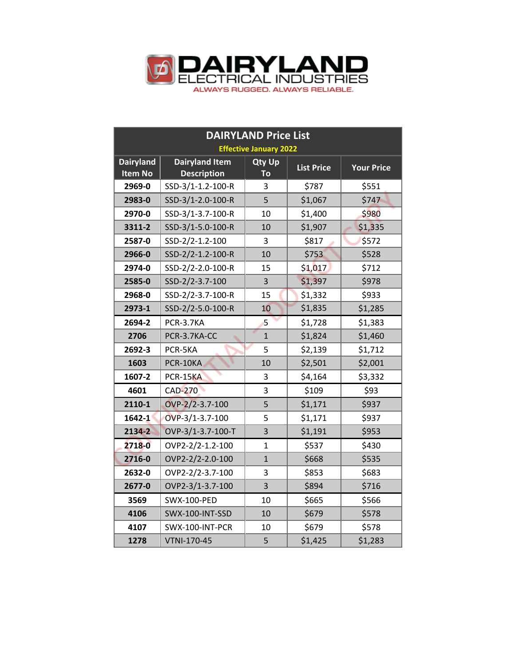

| <b>DAIRYLAND Price List</b>        |                                             |                     |                   |                   |  |  |
|------------------------------------|---------------------------------------------|---------------------|-------------------|-------------------|--|--|
| <b>Effective January 2022</b>      |                                             |                     |                   |                   |  |  |
| <b>Dairyland</b><br><b>Item No</b> | <b>Dairyland Item</b><br><b>Description</b> | <b>Qty Up</b><br>To | <b>List Price</b> | <b>Your Price</b> |  |  |
| 2969-0                             | SSD-3/1-1.2-100-R                           | 3                   | \$787             | \$551             |  |  |
| 2983-0                             | SSD-3/1-2.0-100-R                           | 5                   | \$1,067           | \$747             |  |  |
| 2970-0                             | SSD-3/1-3.7-100-R                           | 10                  | \$1,400           | \$980             |  |  |
| 3311-2                             | SSD-3/1-5.0-100-R                           | 10                  | \$1,907           | \$1,335           |  |  |
| 2587-0                             | SSD-2/2-1.2-100                             | 3                   | \$817             | \$572             |  |  |
| 2966-0                             | SSD-2/2-1.2-100-R                           | 10                  | \$753             | \$528             |  |  |
| 2974-0                             | SSD-2/2-2.0-100-R                           | 15                  | \$1,017           | \$712             |  |  |
| 2585-0                             | SSD-2/2-3.7-100                             | 3                   | \$1,397           | \$978             |  |  |
| 2968-0                             | SSD-2/2-3.7-100-R                           | 15                  | \$1,332           | \$933             |  |  |
| 2973-1                             | SSD-2/2-5.0-100-R                           | 10                  | \$1,835           | \$1,285           |  |  |
| 2694-2                             | PCR-3.7KA                                   | 5                   | \$1,728           | \$1,383           |  |  |
| 2706                               | PCR-3.7KA-CC                                | $\mathbf{1}$        | \$1,824           | \$1,460           |  |  |
| 2692-3                             | PCR-5KA                                     | 5                   | \$2,139           | \$1,712           |  |  |
| 1603                               | PCR-10KA                                    | 10                  | \$2,501           | \$2,001           |  |  |
| 1607-2                             | PCR-15KA                                    | 3                   | \$4,164           | \$3,332           |  |  |
| 4601                               | <b>CAD-270</b>                              | 3                   | \$109             | \$93              |  |  |
| 2110-1                             | OVP-2/2-3.7-100                             | 5                   | \$1,171           | \$937             |  |  |
| 1642-1                             | OVP-3/1-3.7-100                             | 5                   | \$1,171           | \$937             |  |  |
| 2134-2                             | OVP-3/1-3.7-100-T                           | 3                   | \$1,191           | \$953             |  |  |
| 2718-0                             | OVP2-2/2-1.2-100                            | $\overline{1}$      | \$537             | \$430             |  |  |
| 2716-0                             | OVP2-2/2-2.0-100                            | $\mathbf{1}$        | \$668             | \$535             |  |  |
| 2632-0                             | OVP2-2/2-3.7-100                            | 3                   | \$853             | \$683             |  |  |
| 2677-0                             | OVP2-3/1-3.7-100                            | 3                   | \$894             | \$716             |  |  |
| 3569                               | <b>SWX-100-PED</b>                          | 10                  | \$665             | \$566             |  |  |
| 4106                               | SWX-100-INT-SSD                             | 10                  | \$679             | \$578             |  |  |
| 4107                               | SWX-100-INT-PCR                             | 10                  | \$679             | \$578             |  |  |
| 1278                               | <b>VTNI-170-45</b>                          | 5                   | \$1,425           | \$1,283           |  |  |